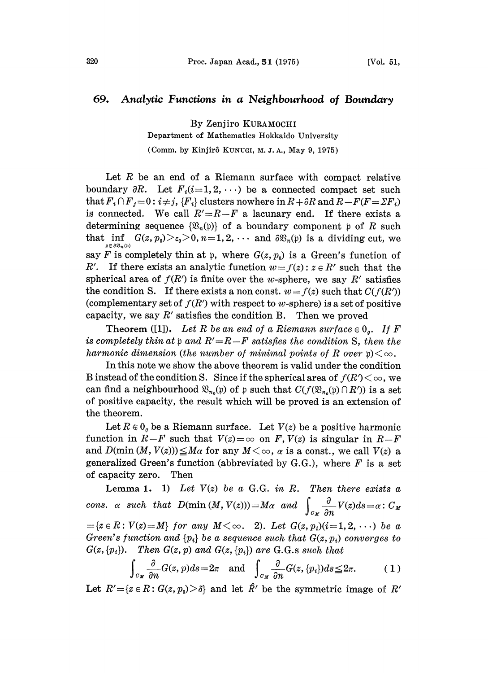## 69. Analytic Functions in a Neighbourhood of Boundary

By Zenjiro KURAMOCHI

Department of Mathematics Hokkaido University

(Comm. by Kinjirô KUNUGI, M. J. A., May 9, 1975).

Let R be an end of a Riemann surface with compact relative boundary  $\partial R$ . Let  $F_i(i=1,2,\cdots)$  be a connected compact set such that  $F_i \cap F_j = 0: i \neq j$ ,  ${F_i}$  clusters nowhere in  $R+\partial R$  and  $R-F(F=\Sigma F_i)$ is connected. We call  $R' = R - F$  a lacunary end. If there exists a determining sequence  $\{\mathfrak{B}_n(\mathfrak{p})\}$  of a boundary component  $\mathfrak{p}$  of R such that inf  $G(z, p_0) > \varepsilon_0 > 0$ ,  $n=1,2, \cdots$  and  $\partial \mathfrak{B}_n(\mathfrak{p})$  is a dividing cut, we say F is completely thin at p, where  $G(z, p_0)$  is a Green's function of R'. If there exists an analytic function  $w = f(z)$ :  $z \in R'$  such that the spherical area of  $f(R')$  is finite over the w-sphere, we say R' satisfies the condition S. If there exists a non const.  $w = f(z)$  such that  $C(f(R'))$ (complementary set of  $f(R')$  with respect to w-sphere) is a set of positive capacity, we say  $R'$  satisfies the condition B. Then we proved

**Theorem** ([1]). Let R be an end of a Riemann surface  $\in 0_a$ . If F is completely thin at  $p$  and  $R' = R - F$  satisfies the condition S, then the harmonic dimension (the number of minimal points of R over  $p\geq 0$ .

In this note we show the above theorem is valid under the condition B instead of the condition S. Since if the spherical area of  $f(R')<\infty$ , we can find a neighbourhood  $\mathfrak{B}_{n_0}(\mathfrak{p})$  of p such that  $C(f(\mathfrak{B}_{n_0}(\mathfrak{p}) \cap R'))$  is a set of positive capacity, the result which will be proved is an extension of the theorem.

Let  $R \oplus 0<sub>q</sub>$  be a Riemann surface. Let  $V(z)$  be a positive harmonic function in  $R-F$  such that  $V(z)=\infty$  on F,  $V(z)$  is singular in  $R-F$ and  $D(\min(M, V(z))) \leq M\alpha$  for any  $M < \infty$ ,  $\alpha$  is a const., we call  $V(z)$  a generalized Green's function (abbreviated by G.G.), where  $F$  is a set of capacity zero. Thea

Lemma 1. 1) Let  $V(z)$  be a G.G. in R. Then there exists a cons.  $\alpha$  such that  $D(\min(M, V(z)))=M\alpha$  and  $\int_{\alpha} \frac{\partial}{\partial n} V(z)ds=\alpha$ :  $C_M$  $=\{z \in R : V(z) = M\}$  for any  $M < \infty$ . 2). Let  $G(z, p_i)(i=1, 2, \cdots)$  be a Green's function and  $\{p_i\}$  be a sequence such that  $G(z, p_i)$  converges to  $G(z, \{p_i\})$ . Then  $G(z, p)$  and  $G(z, \{p_i\})$  are G.G.s such that

$$
\int_{C_M} \frac{\partial}{\partial n} G(z, p) ds = 2\pi \quad \text{and} \quad \int_{C_M} \frac{\partial}{\partial n} G(z, \{p_i\}) ds \leq 2\pi. \tag{1}
$$

Let  $R' = \{z \in R : G(z, p_0) > \delta\}$  and let  $\hat{R}'$  be the symmetric image of  $R'$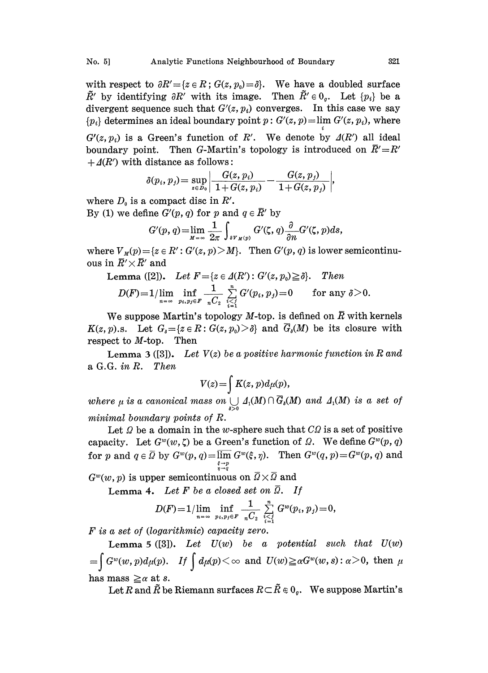with respect to  $\partial R' = \{z \in R : G(z, p_0) = \delta\}$ . We have a doubled surface  $\tilde{R}'$  by identifying  $\partial R'$  with its image. Then  $\tilde{R}' \in 0_{q}$ . Let  $\{p_i\}$  be a divergent sequence such that  $G'(z, p_i)$  converges. In this case we say  ${p_i}$  determines an ideal boundary point  $p: G'(z, p) = \lim G'(z, p_i)$ , where

 $G'(z, p_i)$  is a Green's function of R'. We denote by  $\Delta(R')$  all ideal boundary point. Then G-Martin's topology is introduced on  $\bar{R}'=R'$  $+ \Delta(R')$  with distance as follows:

$$
\delta(p_i,p_j)\!=\!\sup_{z\in D_0}\!\left|\frac{G(z,p_i)}{1\!+\!G(z,p_i)}\!-\!\frac{G(z,p_j)}{1\!+\!G(z,p_j)}\right|
$$

where  $D_0$  is a compact disc in  $R'$ .

By (1) we define  $G'(p, q)$  for p and  $q \in \overline{R}'$  by

$$
G'(p,q)=\lim_{M\to\infty}\frac{1}{2\pi}\int_{\partial V_M(p)}G'(\zeta,q)\frac{\partial}{\partial n}G'(\zeta,p)ds,
$$

where  $V_{M}(p) = \{z \in R': G'(z, p) > M\}$ . Then  $G'(p, q)$  is lower semicontinu- $\text{ous in } R' \times R' \text{ and} \ \text{Lemma } ([2]).$ 

Lemma ([2]). Let 
$$
F = \{z \in \Delta(R'): G'(z, p_0) \geq \delta\}
$$
. Then\n
$$
D(F) = 1 / \lim_{n \to \infty} \inf_{p_i, p_j \in F} \frac{1}{nC_2} \sum_{\substack{i=1 \ i \in I}}^n G'(p_i, p_j) = 0 \quad \text{for any } \delta > 0.
$$

We suppose Martin's topology M-top. is defined on  $\overline{R}$  with kernels  $K(z, p)$ .s. Let  $G_{\delta} = \{z \in \mathbb{R} : G(z, p_0) > \delta\}$  and  $\overline{G}_{\delta}(M)$  be its closure with respect to M-top. Then

**Lemma 3** ([3]). Let  $V(z)$  be a positive harmonic function in R and a G.G. in R. Then

$$
V(z) = \int K(z, p) d\mu(p),
$$

where  $\mu$  is a canonical mass on  $\bigcup_{s>0} A_1(M) \cap \overline{G}_s(M)$  and  $A_1(M)$  is a set of minimal boundary points of R.

Let  $\Omega$  be a domain in the w-sphere such that  $C\Omega$  is a set of positive capacity. Let  $G^w(w, \zeta)$  be a Green's function of  $\Omega$ . We define  $G^w(p, q)$ for p and  $q \in \overline{Q}$  by  $G^w(p,q) = \overline{\lim} G^w(\xi, \eta)$ . Then  $G^w(q, p) = G^w(p, q)$  and  $\frac{\epsilon \rightarrow p}{\eta \rightarrow q}$ 

 $G^{\omega}(w, p)$  is upper semicontinuous on  $\overline{Q} \times \overline{Q}$  and

Lemma 4. Let F be a closed set on  $\overline{Q}$ . If

$$
D(F) = 1/\lim_{n = \infty} \inf_{p_i, p_j \in F} \frac{1}{nC_2} \sum_{\substack{i=1 \\ i \neq 1}}^n G^w(p_i, p_j) = 0,
$$

F is a set of (logarithmic) capacity zero.

Lemma 5 ([3]). Let  $U(w)$  be a potential such that  $U(w)$  $=\int G^w(w, p)d\mu(p)$ . If  $\int d\mu(p)<\infty$  and  $U(w)\geq \alpha G^w(w, s): \alpha>0$ , then  $\mu$ has mass  $\geq \alpha$  at s.

Let R and  $\tilde{R}$  be Riemann surfaces  $R \subset \tilde{R} \in 0_{\rho}$ . We suppose Martin's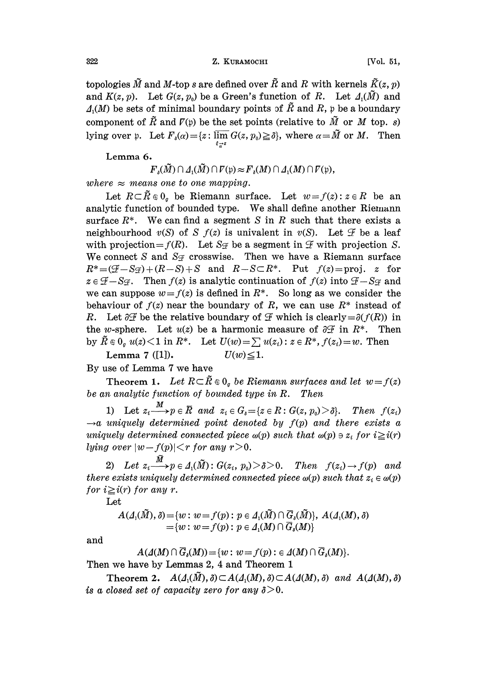322 Z. KURAMOCHI [Vol. 51,

topologies  $\tilde{M}$  and M-top s are defined over  $\tilde{R}$  and R with kernels  $\tilde{K}(z, p)$ and  $K(z, p)$ . Let  $G(z, p_0)$  be a Green's function of R. Let  $\Delta_1(\tilde{M})$  and  $\Lambda(M)$  be sets of minimal boundary points of  $\tilde{R}$  and  $R$ , p be a boundary component of  $\tilde{R}$  and  $\tilde{I}(\mathfrak{p})$  be the set points (relative to  $\tilde{M}$  or M top. s) lying over p. Let  $F_{\delta}(\alpha) = \{z : \overline{\lim_{\xi_{\alpha}^{-z}}} G(z, p_0) \geq \delta\}$ , where  $\alpha = \tilde{M}$  or  $M$ . Then

Lemma 6.

 $F_s(\tilde{M}) \cap \Delta_1(\tilde{M}) \cap \overline{V}(p) \approx F_s(M) \cap \Delta_1(M) \cap \overline{V}(p),$ 

where  $\approx$  means one to one mapping.

Let  $R\subset \tilde{R}\in\mathbb{0}$  be Riemann surface. Let  $w=f(z):z\in R$  be an analytic function of bounded type. We shall define another Riemann surface  $R^*$ . We can find a segment S in R such that there exists a neighbourhood  $v(S)$  of S  $f(z)$  is univalent in  $v(S)$ . Let  $\mathscr F$  be a leaf with projection =  $f(R)$ . Let  $S_{\mathcal{F}}$  be a segment in  $\mathcal{F}$  with projection S. We connect S and  $S_{\mathcal{F}}$  crosswise. Then we have a Riemann surface  $R^*=(\mathcal{F}-S\mathcal{F})+(R-S)+S$  and  $R-S\subset R^*$ . Put  $f(z)=proj$ . z for  $z \in \mathcal{F} - S_{\mathcal{F}}$ . Then  $f(z)$  is analytic continuation of  $f(z)$  into  $\mathcal{F} - S_{\mathcal{F}}$  and we can suppose  $w = f(z)$  is defined in  $R^*$ . So long as we consider the behaviour of  $f(z)$  near the boundary of R, we can use  $R^*$  instead of R. Let  $\partial \mathcal{F}$  be the relative boundary of  $\mathcal F$  which is clearly  $=\partial (f(R))$  in the w-sphere. Let  $u(z)$  be a harmonic measure of  $\partial \mathcal{F}$  in  $R^*$ . Then by  $\tilde{R} \in 0$   $u(z) < 1$  in  $R^*$ . Let  $U(w) = \sum u(z_i) : z \in R^*$ ,  $f(z_i) = w$ . Then Lemma 7 ([1]).  $U(w) \le 1$ .

By use of Lemma 7 we have

Theorem 1. Let  $R \subset \tilde{R} \in 0_q$  be Riemann surfaces and let  $w = f(z)$ be an analytic function of bounded type in R. Then

1) Let  $z_i \longrightarrow p \in \overline{R}$  and  $z_i \in G_s = \{z \in \overline{R} : G(z, p_0) > \delta\}$ . Then  $f(z_i)$  $\rightarrow$ a uniquely determined point denoted by  $f(p)$  and there exists a uniquely determined connected piece  $\omega(p)$  such that  $\omega(p) \ni z_i$  for  $i \geq i(r)$ lying over  $|w-f(p)| < r$  for any  $r > 0$ .

2) Let  $z_i \stackrel{\tilde{M}}{\longrightarrow} p \in \Lambda_1(\tilde{M}): G(z_i, p_0) > \delta > 0$ . Then  $f(z_i) \rightarrow f(p)$  and there exists uniquely determined connected piece  $\omega(p)$  such that  $z_i \in \omega(p)$ for  $i \geq i(r)$  for any r.

Let

$$
A(\Lambda_1(\tilde{M}), \delta) = \{w : w = f(p) : p \in \Lambda_1(\tilde{M}) \cap \overline{G}_{\delta}(\tilde{M})\}, A(\Lambda_1(M), \delta)
$$
  
= \{w : w = f(p) : p \in \Lambda\_1(M) \cap \overline{G}\_{\delta}(M)\}\end{aligned}

and

$$
A(\mathcal{A}(M) \cap \overline{G}_{\delta}(M)) = \{w : w = f(p) : \epsilon \mathcal{A}(M) \cap \overline{G}_{\delta}(M) \}.
$$

Then we have by Lemmas 2, 4 and Theorem 1

Theorem 2.  $A(\Lambda_1(\tilde{M}), \delta) \subset A(\Lambda_1(M), \delta) \subset A(\Lambda(M), \delta)$  and  $A(\Lambda(M), \delta)$ is a closed set of capacity zero for any  $\delta > 0$ .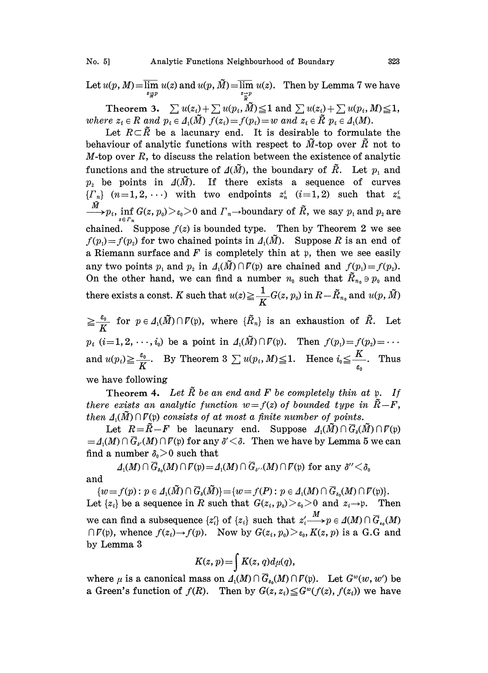Let  $u(p, M) = \overline{\lim_{\substack{z \to p}} u(z)}$  and  $u(p, \tilde{M}) = \overline{\lim_{\substack{z \to p}} u(z)}$ . Then by Lemma 7 we have

Theorem 3.  $\sum u(z_i) + \sum u(p_i, \tilde{M}) \leq 1$  and  $\sum u(z_i) + \sum u(p_i, M) \leq 1$ ,<br>re  $z_i \in R$  and  $p_i \in \Lambda_i(\tilde{M})$   $f(z_i) = f(p_i) = w$  and  $z_i \in \tilde{R}$   $p_i \in \Lambda_i(M)$ .<br>Let  $R \subset \tilde{R}$  be a lacunary end. It is desirable to formulate the where  $z_i \in R$  and  $p_i \in A_1(\tilde{M})$   $f(z_i) = f(p_i) = w$  and  $z_i \in \tilde{R}$   $p_i \in A_1(M)$ .

Let  $R\subset\tilde{R}$  be a lacunary end. It is desirable to formulate the behaviour of analytic functions with respect to  $\tilde{M}$ -top over  $\tilde{R}$  not to  $M$ -top over  $R$ , to discuss the relation between the existence of analytic functions and the structure of  $\Delta(\tilde{M})$ , the boundary of  $\tilde{R}$ . Let  $p_1$  and  $p_2$  be points in  $\Delta(M)$ . If there exists a sequence of curves  ${F_n}$   $(n=1, 2, ...)$  with two endpoints  $z_n^i$   $(i=1, 2)$  such that  $z_n^i$  $p_{\phi,p_i}\inf_{z\in\varGamma_n}G(z,p_0)\!>\!\varepsilon _0\!>\!0\,\,{\rm and}\,\,\varGamma_n\!\!\rightarrow\!\!{\rm boundary\,\,of\,\,}\tilde R,\,\,{\rm we\,\,say\,\,}p_1\,{\rm and}\,\,p_2\,{\rm are\,\,}$ chained. Suppose  $f(z)$  is bounded type. Then by Theorem 2 we see  $f(p_1)=f(p_2)$  for two chained points in  $\Lambda_1(M)$ . Suppose R is an end of a Riemann surface and  $F$  is completely thin at  $\mathfrak p$ , then we see easily any two points  $p_1$  and  $p_2$  in  $\Lambda_1(\tilde{M})\cap\mathcal{F}(\frak{p})$  are chained and  $f(p_1)=f(p_2)$ . On the other hand, we can find a number  $n_0$  such that  $\tilde{R}_{n_0} \ni p_0$  and there exists a const. K such that  $u(z) \geq \frac{1}{K} G(z, p_0)$  in  $R - \tilde{R}_{n_0}$  and  $u(p, \tilde{M})$ 

 $\geq \frac{\varepsilon_0}{K}$  for  $p \in \Lambda_1(\tilde{M}) \cap \mathcal{V}(\mathfrak{p})$ , where  $\{\tilde{R}_n\}$  is an exhaustion of  $\tilde{R}$ . Let  $p_i$   $(i=1, 2, \dots, i_0)$  be a point in  $\Lambda_1(\tilde{M}) \cap \mathcal{F}(\mathfrak{p})$ . Then  $f(p_1) = f(p_2) = \dots$ and  $u(p_i) \ge \frac{\varepsilon_0}{K}$ . By Theorem 3  $\sum u(p_i, M) \le 1$ . Hence  $i_0 \le \frac{K}{\varepsilon_0}$ . Thus we have following

Theorem 4. Let  $\tilde{R}$  be an end and F be completely thin at p. If there exists an analytic function  $w=f(z)$  of bounded type in  $\tilde{R}-F$ , then  $\Delta_i(\tilde{M}) \cap \overline{V}(\mathfrak{p})$  consists of at most a finite number of points.

Let  $R=\tilde{R}-F$  be lacunary end. Suppose  $\Delta_1(\tilde{M})\cap \overline{G}_s(\tilde{M})\cap \overline{V}(p)$  $= \Lambda_1(M) \cap G_{\delta'}(M) \cap V(\mathfrak{p})$  for any  $\delta'$ <br>find a number  $\delta_0 > 0$  such that  $= A_1(M) \cap \overline{G}_{\alpha'}(M) \cap \overline{V}(\mathfrak{p})$  for any  $\delta' < \delta$ . Then we have by Lemma 5 we can

 $\Delta_1(M) \cap \overline{G}_{\delta_0}(M) \cap \overline{V}(p) = \Delta_1(M) \cap \overline{G}_{\delta_0}(M) \cap \overline{V}(p)$  for any  $\delta'' < \delta_0$ and

 $\{w=f(p): p \in \Lambda_1(\tilde{M}) \cap \overline{G}_{\delta}(\tilde{M})\} = \{w=f(P): p \in \Lambda_1(M) \cap \overline{G}_{\delta_0}(M) \cap \overline{V}(p)\}.$ Let  $\{z_i\}$  be a sequence in R such that  $G(z_i, p_0) > \varepsilon_0 > 0$  and  $z_i \to p$ . Then we can find a subsequence  $\{z_i'\}$  of  $\{z_i\}$  such that  $z_i' \rightarrow p \in A(M) \cap \overline{G}_{i_0}(M)$  $\bigcap F(p)$ , whence  $f(z_i) \rightarrow f(p)$ . Now by  $G(z_i, p_0) > \varepsilon_0$ ,  $K(z, p)$  is a G.G and by Lemma <sup>3</sup>

$$
K(z, p) = \int K(z, q) d\mu(q),
$$

where  $\mu$  is a canonical mass on  $\Lambda_1(M) \cap \overline{G}_{\delta_0}(M) \cap \overline{V}(\mathfrak{p})$ . Let  $G^w(w, w')$  be a Green's function of  $f(R)$ . Then by  $G(z, z_i) \leq G^w(f(z), f(z_i))$  we have